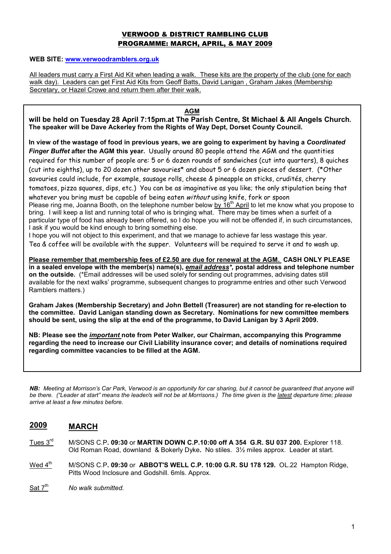## VERWOOD & DISTRICT RAMBLING CLUB PROGRAMME: MARCH, APRIL, & MAY 2009

#### WEB SITE: www.verwoodramblers.org.uk

All leaders must carry a First Aid Kit when leading a walk. These kits are the property of the club (one for each walk day). Leaders can get First Aid Kits from Geoff Batts, David Lanigan, Graham Jakes (Membership Secretary, or Hazel Crowe and return them after their walk.

#### AGM

will be held on Tuesday 28 April 7:15pm.at The Parish Centre, St Michael & All Angels Church. The speaker will be Dave Ackerley from the Rights of Way Dept, Dorset County Council.

In view of the wastage of food in previous years, we are going to experiment by having a Coordinated Finger Buffet after the AGM this year. Usually around 80 people attend the AGM and the quantities required for this number of people are: 5 or 6 dozen rounds of sandwiches (cut into quarters), 8 quiches (cut into eighths), up to 20 dozen other savouries\* and about 5 or 6 dozen pieces of dessert. (\*Other savouries could include, for example, sausage rolls, cheese & pineapple on sticks, crudités, cherry tomatoes, pizza squares, dips, etc.) You can be as imaginative as you like; the only stipulation being that whatever you bring must be capable of being eaten without using knife, fork or spoon Please ring me, Joanna Booth, on the telephone number below by  $16<sup>th</sup>$  April to let me know what you propose to bring. I will keep a list and running total of who is bringing what. There may be times when a surfeit of a particular type of food has already been offered, so I do hope you will not be offended if, in such circumstances, I ask if you would be kind enough to bring something else. I hope you will not object to this experiment, and that we manage to achieve far less wastage this year.

Tea & coffee will be available with the supper. Volunteers will be required to serve it and to wash up.

Please remember that membership fees of £2.50 are due for renewal at the AGM. CASH ONLY PLEASE in a sealed envelope with the member(s) name(s), email address\*, postal address and telephone number on the outside. (\*Email addresses will be used solely for sending out programmes, advising dates still available for the next walks' programme, subsequent changes to programme entries and other such Verwood Ramblers matters.)

Graham Jakes (Membership Secretary) and John Bettell (Treasurer) are not standing for re-election to the committee. David Lanigan standing down as Secretary. Nominations for new committee members should be sent, using the slip at the end of the programme, to David Lanigan by 3 April 2009.

NB: Please see the important note from Peter Walker, our Chairman, accompanying this Programme regarding the need to increase our Civil Liability insurance cover; and details of nominations required regarding committee vacancies to be filled at the AGM.

NB: Meeting at Morrison's Car Park, Verwood is an opportunity for car sharing, but it cannot be guaranteed that anyone will be there. ("Leader at start" means the leader/s will not be at Morrisons.) The time given is the latest departure time; please arrive at least a few minutes before.

# 2009 MARCH

- Tues  $3<sup>rd</sup>$  M/SONS C.P. 09:30 or MARTIN DOWN C.P.10:00 off A 354 G.R. SU 037 200. Explorer 118. Old Roman Road, downland & Bokerly Dyke. No stiles. 3½ miles approx. Leader at start.
- Wed  $4<sup>th</sup>$  M/SONS C.P. 09:30 or ABBOT'S WELL C.P. 10:00 G.R. SU 178 129. OL.22 Hampton Ridge, Pitts Wood Inclosure and Godshill. 6mls. Approx.
- Sat  $7<sup>th</sup>$  No walk submitted.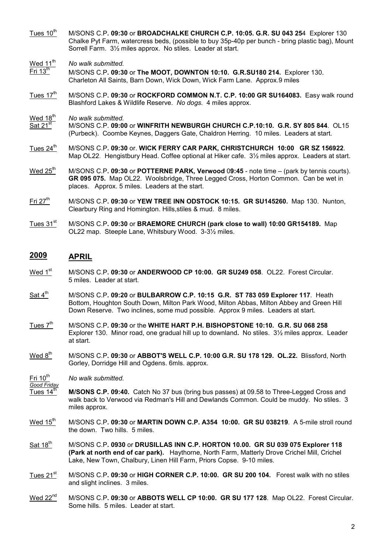- Tues 10<sup>th</sup> M/SONS C.P. 09:30 or BROADCHALKE CHURCH C.P. 10:05. G.R. SU 043 254 Explorer 130 Chalke Pyt Farm, watercress beds, (possible to buy 35p-40p per bunch - bring plastic bag), Mount Sorrell Farm. 3½ miles approx. No stiles. Leader at start.
- $\frac{\text{Wed }11^{\text{th}}}{\text{Fri }13^{\text{th}}}$  No walk submitted.
- M/SONS C.P. 09:30 or The MOOT, DOWNTON 10:10. G.R.SU180 214. Explorer 130. Charleton All Saints, Barn Down, Wick Down, Wick Farm Lane. Approx.9 miles
- Tues  $17<sup>th</sup>$  M/SONS C.P. 09:30 or ROCKFORD COMMON N.T. C.P. 10:00 GR SU164083. Easy walk round Blashford Lakes & Wildlife Reserve. No dogs. 4 miles approx.
- 
- $\frac{\text{Wed }18^{\text{th}}}{\text{Sat }21^{\text{st}}}$  No walk submitted. M/SONS C.P. 09:00 or WINFRITH NEWBURGH CHURCH C.P.10:10. G.R. SY 805 844. OL15 (Purbeck). Coombe Keynes, Daggers Gate, Chaldron Herring. 10 miles. Leaders at start.
- Tues 24<sup>th</sup> M/SONS C.P. 09:30 or. WICK FERRY CAR PARK, CHRISTCHURCH 10:00 GR SZ 156922. Map OL22. Hengistbury Head. Coffee optional at Hiker cafe.  $3\frac{1}{2}$  miles approx. Leaders at start.
- Wed  $25<sup>th</sup>$  M/SONS C.P. 09:30 or POTTERNE PARK, Verwood 09:45 note time (park by tennis courts). GR 095 075. Map OL22. Woolsbridge, Three Legged Cross, Horton Common. Can be wet in places. Approx. 5 miles. Leaders at the start.
- Fri 27<sup>th</sup> M/SONS C.P. 09:30 or YEW TREE INN ODSTOCK 10:15. GR SU145260. Map 130. Nunton, Clearbury Ring and Homington. Hills,stiles & mud. 8 miles.
- Tues 31<sup>st</sup> M/SONS C.P. 09:30 or BRAEMORE CHURCH (park close to wall) 10:00 GR154189. Map OL22 map. Steeple Lane, Whitsbury Wood. 3-3½ miles.

# 2009 APRIL

- Wed 1<sup>st</sup> M/SONS C.P. 09:30 or ANDERWOOD CP 10:00. GR SU249 058. OL22. Forest Circular. 5 miles. Leader at start.
- $\frac{\text{Sat 4}^{\text{th}}}{\text{M}}$  M/SONS C.P. 09:20 or BULBARROW C.P. 10:15 G.R. ST 783 059 Explorer 117. Heath Bottom, Houghton South Down, Milton Park Wood, Milton Abbas, Milton Abbey and Green Hill Down Reserve. Two inclines, some mud possible. Approx 9 miles. Leaders at start.
- Tues  $7<sup>th</sup>$  M/SONS C.P. 09:30 or the WHITE HART P.H. BISHOPSTONE 10:10. G.R. SU 068 258 Explorer 130. Minor road, one gradual hill up to downland. No stiles. 3½ miles approx. Leader at start.
- Wed 8<sup>th</sup> M/SONS C.P. 09:30 or ABBOT'S WELL C.P. 10:00 G.R. SU 178 129. OL.22. Blissford, North Gorley, Dorridge Hill and Ogdens. 6mls. approx.
- $Fri 10th$ </u> No walk submitted.
- Good Friday Tues 14<sup>th</sup> M/SONS C.P. 09:40. Catch No 37 bus (bring bus passes) at 09.58 to Three-Legged Cross and walk back to Verwood via Redman's Hill and Dewlands Common. Could be muddy. No stiles. 3 miles approx.
- Wed  $15<sup>th</sup>$  M/SONS C.P. 09:30 or MARTIN DOWN C.P. A354 10:00. GR SU 038219. A 5-mile stroll round the down. Two hills. 5 miles.
- Sat 18<sup>th</sup> M/SONS C.P. 0930 or DRUSILLAS INN C.P. HORTON 10.00. GR SU 039 075 Explorer 118 (Park at north end of car park). Haythorne, North Farm, Matterly Drove Crichel Mill, Crichel Lake, New Town, Chalbury, Linen Hill Farm, Priors Copse. 9-10 miles.
- Tues 21<sup>st</sup> M/SONS C.P. 09:30 or HIGH CORNER C.P. 10:00. GR SU 200 104. Forest walk with no stiles and slight inclines. 3 miles.
- Wed 22<sup>nd</sup> M/SONS C.P. 09:30 or ABBOTS WELL CP 10:00. GR SU 177 128. Map OL22. Forest Circular. Some hills. 5 miles. Leader at start.